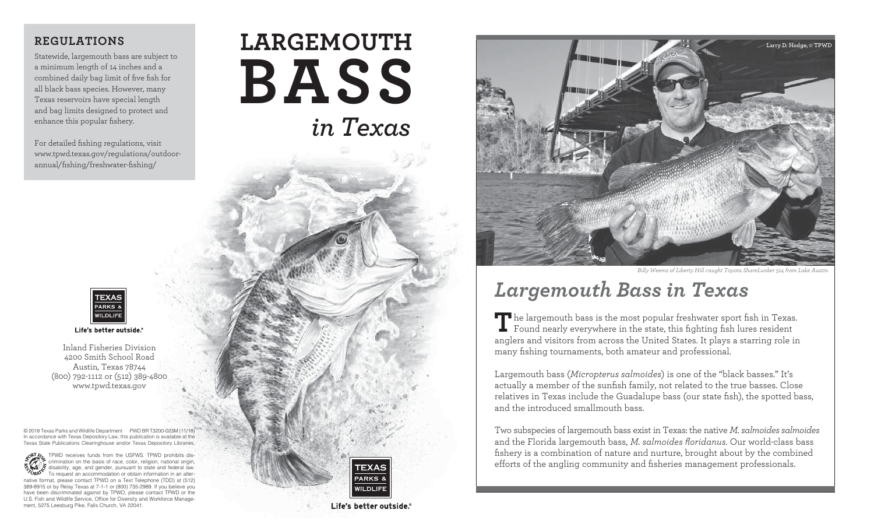## **REGULATIONS**

Statewide, largemouth bass are subject to a minimum length of 14 inches and a combined daily bag limit of five fish for all black bass species. However, many Texas reservoirs have special length and bag limits designed to protect and enhance this popular fishery.

For detailed fishing regulations, visit [www.tpwd.texas.gov/regulations/outdoor](http://www.tpwd.texas.gov/regulations/outdoor-annual/fishing/freshwater-fishing/)[annual/fishing/freshwater-fishing/](http://www.tpwd.texas.gov/regulations/outdoor-annual/fishing/freshwater-fishing/)



Life's better outside.®

Inland Fisheries Division 4200 Smith School Road Austin, Texas 78744 (800) 792-1112 or (512) 389-4800 [www.tpwd.texas.gov](http://www.tpwd.texas.gov)

© 2018 Texas Parks and Wildlife Department PWD BR T3200-023M (11/18) In accordance with Texas Depository Law, this publication is available at the Texas State Publications Clearinghouse and/or Texas Depository Libraries.

TPWD receives funds from the USFWS. TPWD prohibits discrimination on the basis of race, color, religion, national origin, disability, age, and gender, pursuant to state and federal law. To request an accommodation or obtain information in an alternative format, please contact TPWD on a Text Telephone (TDD) at (512) 389-8915 or by Relay Texas at 7-1-1 or (800) 735-2989. If you believe you have been discriminated against by TPWD, please contact TPWD or the U.S. Fish and Wildlife Service, Office for Diversity and Workforce Management, 5275 Leesburg Pike, Falls Church, VA 22041.

# *in Texas* **LARGEMOUTH BASS**



Life's better outside.<sup>6</sup>



*Billy Weems of Liberty Hill caught Toyota ShareLunker 514 from Lake Austin.*

# *Largemouth Bass in Texas*

The largemouth bass is the most popular freshwater sport fish in Texas.<br>Found nearly everywhere in the state, this fighting fish lures resident anglers and visitors from across the United States. It plays a starring role in many fishing tournaments, both amateur and professional.

Largemouth bass (*Micropterus salmoides*) is one of the "black basses." It's actually a member of the sunfish family, not related to the true basses. Close relatives in Texas include the Guadalupe bass (our state fish), the spotted bass, and the introduced smallmouth bass.

Two subspecies of largemouth bass exist in Texas: the native *M. salmoides salmoides* and the Florida largemouth bass, *M. salmoides floridanus*. Our world-class bass fishery is a combination of nature and nurture, brought about by the combined efforts of the angling community and fisheries management professionals.